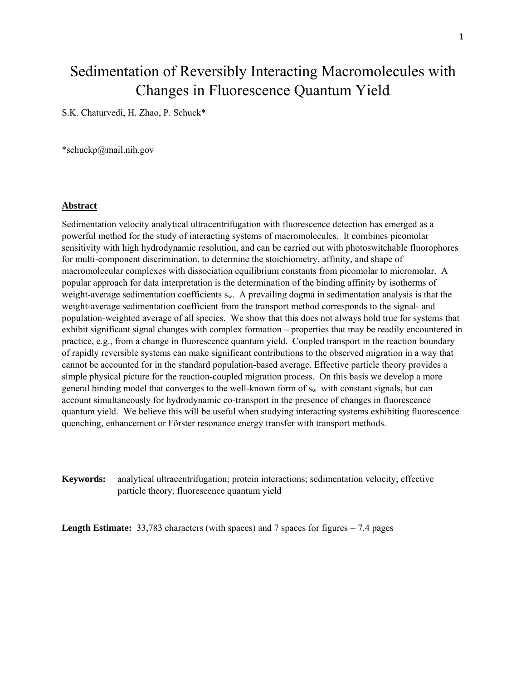# Sedimentation of Reversibly Interacting Macromolecules with Changes in Fluorescence Quantum Yield

S.K. Chaturvedi, H. Zhao, P. Schuck\*

\*schuckp@mail.nih.gov

# **Abstract**

Sedimentation velocity analytical ultracentrifugation with fluorescence detection has emerged as a powerful method for the study of interacting systems of macromolecules. It combines picomolar sensitivity with high hydrodynamic resolution, and can be carried out with photoswitchable fluorophores for multi-component discrimination, to determine the stoichiometry, affinity, and shape of macromolecular complexes with dissociation equilibrium constants from picomolar to micromolar. A popular approach for data interpretation is the determination of the binding affinity by isotherms of weight-average sedimentation coefficients s<sub>w</sub>. A prevailing dogma in sedimentation analysis is that the weight-average sedimentation coefficient from the transport method corresponds to the signal- and population-weighted average of all species. We show that this does not always hold true for systems that exhibit significant signal changes with complex formation – properties that may be readily encountered in practice, e.g., from a change in fluorescence quantum yield. Coupled transport in the reaction boundary of rapidly reversible systems can make significant contributions to the observed migration in a way that cannot be accounted for in the standard population-based average. Effective particle theory provides a simple physical picture for the reaction-coupled migration process. On this basis we develop a more general binding model that converges to the well-known form of  $s_w$  with constant signals, but can account simultaneously for hydrodynamic co-transport in the presence of changes in fluorescence quantum yield. We believe this will be useful when studying interacting systems exhibiting fluorescence quenching, enhancement or Förster resonance energy transfer with transport methods.

**Keywords:** analytical ultracentrifugation; protein interactions; sedimentation velocity; effective particle theory, fluorescence quantum yield

**Length Estimate:** 33,783 characters (with spaces) and 7 spaces for figures = 7.4 pages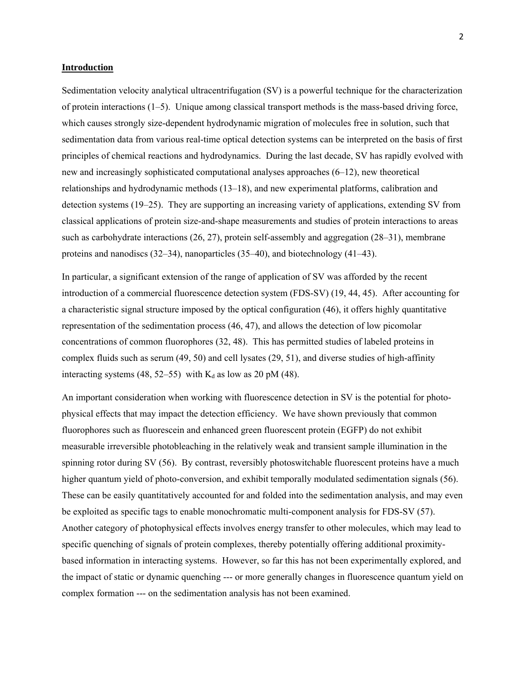### **Introduction**

Sedimentation velocity analytical ultracentrifugation (SV) is a powerful technique for the characterization of protein interactions (1–5). Unique among classical transport methods is the mass-based driving force, which causes strongly size-dependent hydrodynamic migration of molecules free in solution, such that sedimentation data from various real-time optical detection systems can be interpreted on the basis of first principles of chemical reactions and hydrodynamics. During the last decade, SV has rapidly evolved with new and increasingly sophisticated computational analyses approaches (6–12), new theoretical relationships and hydrodynamic methods (13–18), and new experimental platforms, calibration and detection systems (19–25). They are supporting an increasing variety of applications, extending SV from classical applications of protein size-and-shape measurements and studies of protein interactions to areas such as carbohydrate interactions (26, 27), protein self-assembly and aggregation (28–31), membrane proteins and nanodiscs (32–34), nanoparticles (35–40), and biotechnology (41–43).

In particular, a significant extension of the range of application of SV was afforded by the recent introduction of a commercial fluorescence detection system (FDS-SV) (19, 44, 45). After accounting for a characteristic signal structure imposed by the optical configuration (46), it offers highly quantitative representation of the sedimentation process (46, 47), and allows the detection of low picomolar concentrations of common fluorophores (32, 48). This has permitted studies of labeled proteins in complex fluids such as serum (49, 50) and cell lysates (29, 51), and diverse studies of high-affinity interacting systems (48, 52–55) with  $K_d$  as low as 20 pM (48).

An important consideration when working with fluorescence detection in SV is the potential for photophysical effects that may impact the detection efficiency. We have shown previously that common fluorophores such as fluorescein and enhanced green fluorescent protein (EGFP) do not exhibit measurable irreversible photobleaching in the relatively weak and transient sample illumination in the spinning rotor during SV (56). By contrast, reversibly photoswitchable fluorescent proteins have a much higher quantum yield of photo-conversion, and exhibit temporally modulated sedimentation signals (56). These can be easily quantitatively accounted for and folded into the sedimentation analysis, and may even be exploited as specific tags to enable monochromatic multi-component analysis for FDS-SV (57). Another category of photophysical effects involves energy transfer to other molecules, which may lead to specific quenching of signals of protein complexes, thereby potentially offering additional proximitybased information in interacting systems. However, so far this has not been experimentally explored, and the impact of static or dynamic quenching --- or more generally changes in fluorescence quantum yield on complex formation --- on the sedimentation analysis has not been examined.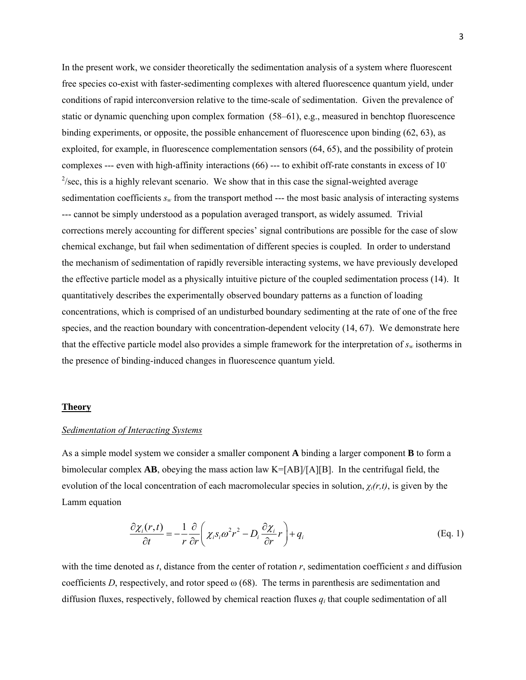In the present work, we consider theoretically the sedimentation analysis of a system where fluorescent free species co-exist with faster-sedimenting complexes with altered fluorescence quantum yield, under conditions of rapid interconversion relative to the time-scale of sedimentation. Given the prevalence of static or dynamic quenching upon complex formation (58–61), e.g., measured in benchtop fluorescence binding experiments, or opposite, the possible enhancement of fluorescence upon binding (62, 63), as exploited, for example, in fluorescence complementation sensors (64, 65), and the possibility of protein complexes --- even with high-affinity interactions (66) --- to exhibit off-rate constants in excess of 10-  $2$ /sec, this is a highly relevant scenario. We show that in this case the signal-weighted average sedimentation coefficients  $s_w$  from the transport method --- the most basic analysis of interacting systems --- cannot be simply understood as a population averaged transport, as widely assumed. Trivial corrections merely accounting for different species' signal contributions are possible for the case of slow chemical exchange, but fail when sedimentation of different species is coupled. In order to understand the mechanism of sedimentation of rapidly reversible interacting systems, we have previously developed the effective particle model as a physically intuitive picture of the coupled sedimentation process (14). It quantitatively describes the experimentally observed boundary patterns as a function of loading concentrations, which is comprised of an undisturbed boundary sedimenting at the rate of one of the free species, and the reaction boundary with concentration-dependent velocity (14, 67). We demonstrate here that the effective particle model also provides a simple framework for the interpretation of *sw* isotherms in the presence of binding-induced changes in fluorescence quantum yield.

#### **Theory**

## *Sedimentation of Interacting Systems*

As a simple model system we consider a smaller component **A** binding a larger component **B** to form a bimolecular complex  $\bf{AB}$ , obeying the mass action law  $K=[AB]/[A][B]$ . In the centrifugal field, the evolution of the local concentration of each macromolecular species in solution, *χi(r,t)*, is given by the Lamm equation

$$
\frac{\partial \chi_i(r,t)}{\partial t} = -\frac{1}{r} \frac{\partial}{\partial r} \left( \chi_i s_i \omega^2 r^2 - D_i \frac{\partial \chi_i}{\partial r} r \right) + q_i
$$
 (Eq. 1)

with the time denoted as *t*, distance from the center of rotation *r*, sedimentation coefficient *s* and diffusion coefficients *D*, respectively, and rotor speed  $\omega$  (68). The terms in parenthesis are sedimentation and diffusion fluxes, respectively, followed by chemical reaction fluxes *qi* that couple sedimentation of all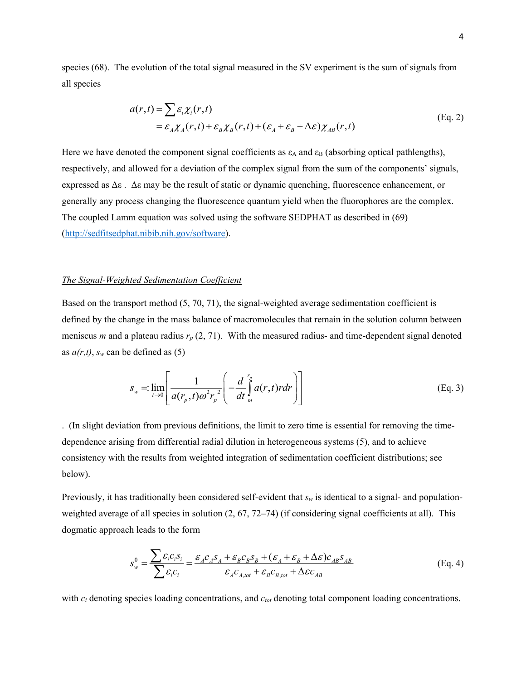species (68). The evolution of the total signal measured in the SV experiment is the sum of signals from all species

$$
a(r,t) = \sum \varepsilon_i \chi_i(r,t)
$$
  
=  $\varepsilon_A \chi_A(r,t) + \varepsilon_B \chi_B(r,t) + (\varepsilon_A + \varepsilon_B + \Delta \varepsilon) \chi_{AB}(r,t)$  (Eq. 2)

Here we have denoted the component signal coefficients as  $\varepsilon_A$  and  $\varepsilon_B$  (absorbing optical pathlengths), respectively, and allowed for a deviation of the complex signal from the sum of the components' signals, expressed as  $\Delta \varepsilon$ .  $\Delta \varepsilon$  may be the result of static or dynamic quenching, fluorescence enhancement, or generally any process changing the fluorescence quantum yield when the fluorophores are the complex. The coupled Lamm equation was solved using the software SEDPHAT as described in (69) (http://sedfitsedphat.nibib.nih.gov/software).

# *The Signal-Weighted Sedimentation Coefficient*

Based on the transport method (5, 70, 71), the signal-weighted average sedimentation coefficient is defined by the change in the mass balance of macromolecules that remain in the solution column between meniscus *m* and a plateau radius *rp* (2, 71). With the measured radius- and time-dependent signal denoted as  $a(r,t)$ ,  $s_w$  can be defined as (5)

$$
s_w = \lim_{t \to 0} \left[ \frac{1}{a(r_p, t)\omega^2 r_p^2} \left( -\frac{d}{dt} \int_m^{r_p} a(r, t) r dr \right) \right]
$$
(Eq. 3)

. (In slight deviation from previous definitions, the limit to zero time is essential for removing the timedependence arising from differential radial dilution in heterogeneous systems (5), and to achieve consistency with the results from weighted integration of sedimentation coefficient distributions; see below).

Previously, it has traditionally been considered self-evident that  $s_w$  is identical to a signal- and populationweighted average of all species in solution (2, 67, 72–74) (if considering signal coefficients at all). This dogmatic approach leads to the form

$$
s_w^0 = \frac{\sum \varepsilon_i c_i s_i}{\sum \varepsilon_i c_i} = \frac{\varepsilon_A c_A s_A + \varepsilon_B c_B s_B + (\varepsilon_A + \varepsilon_B + \Delta \varepsilon) c_{AB} s_{AB}}{\varepsilon_A c_{A, tot} + \varepsilon_B c_{B, tot} + \Delta \varepsilon c_{AB}}
$$
(Eq. 4)

with  $c_i$  denoting species loading concentrations, and  $c_{tot}$  denoting total component loading concentrations.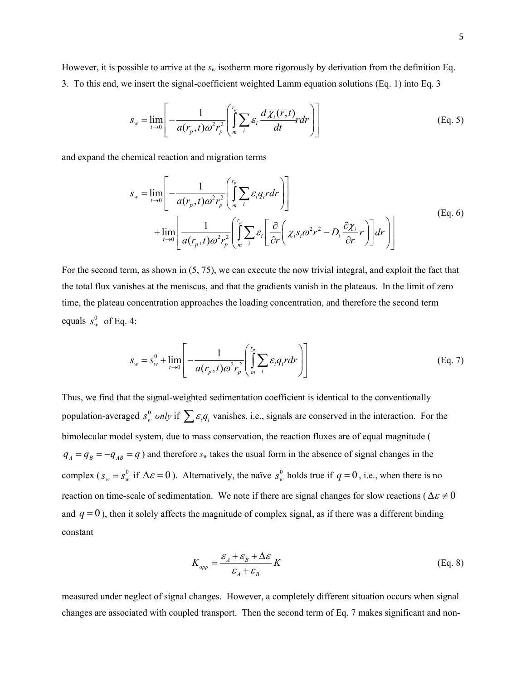However, it is possible to arrive at the *sw* isotherm more rigorously by derivation from the definition Eq. 3. To this end, we insert the signal-coefficient weighted Lamm equation solutions (Eq. 1) into Eq. 3

$$
s_w = \lim_{t \to 0} \left[ -\frac{1}{a(r_p, t)\omega^2 r_p^2} \left( \int\limits_m^{r_p} \sum_i \varepsilon_i \frac{d\chi_i(r, t)}{dt} r dr \right) \right]
$$
(Eq. 5)

and expand the chemical reaction and migration terms

$$
s_{w} = \lim_{t \to 0} \left[ -\frac{1}{a(r_{p}, t)\omega^{2} r_{p}^{2}} \left( \int_{m}^{r_{p}} \sum_{i} \varepsilon_{i} q_{i} r dr \right) \right]
$$
  
+ 
$$
\lim_{t \to 0} \left[ \frac{1}{a(r_{p}, t)\omega^{2} r_{p}^{2}} \left( \int_{m}^{r_{p}} \sum_{i} \varepsilon_{i} \left[ \frac{\partial}{\partial r} \left( \chi_{i} s_{i} \omega^{2} r^{2} - D_{i} \frac{\partial \chi_{i}}{\partial r} r \right) \right] dr \right) \right]
$$
(Eq. 6)

For the second term, as shown in (5, 75), we can execute the now trivial integral, and exploit the fact that the total flux vanishes at the meniscus, and that the gradients vanish in the plateaus. In the limit of zero time, the plateau concentration approaches the loading concentration, and therefore the second term equals  $s_w^0$  of Eq. 4:

$$
s_w = s_w^0 + \lim_{t \to 0} \left[ -\frac{1}{a(r_p, t)\omega^2 r_p^2} \left( \int\limits_m^{r_p} \sum_i \varepsilon_i q_i r dr \right) \right]
$$
 (Eq. 7)

Thus, we find that the signal-weighted sedimentation coefficient is identical to the conventionally population-averaged  $s_w^0$  *only* if  $\sum \varepsilon_i q_i$  vanishes, i.e., signals are conserved in the interaction. For the bimolecular model system, due to mass conservation, the reaction fluxes are of equal magnitude (  $q_A = q_B = -q_{AB} = q$ ) and therefore  $s_w$  takes the usual form in the absence of signal changes in the complex ( $s_w = s_w^0$  if  $\Delta \varepsilon = 0$ ). Alternatively, the naïve  $s_w^0$  holds true if  $q = 0$ , i.e., when there is no reaction on time-scale of sedimentation. We note if there are signal changes for slow reactions ( $\Delta \varepsilon \neq 0$ and  $q = 0$ ), then it solely affects the magnitude of complex signal, as if there was a different binding constant

$$
K_{app} = \frac{\varepsilon_A + \varepsilon_B + \Delta \varepsilon}{\varepsilon_A + \varepsilon_B} K \tag{Eq. 8}
$$

measured under neglect of signal changes. However, a completely different situation occurs when signal changes are associated with coupled transport. Then the second term of Eq. 7 makes significant and non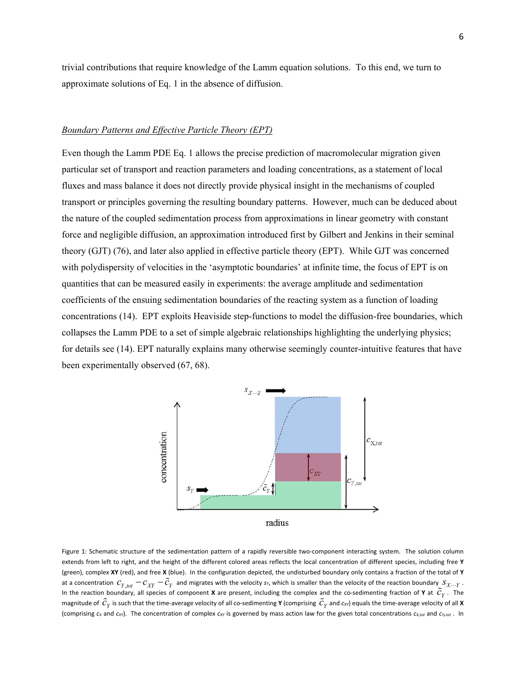trivial contributions that require knowledge of the Lamm equation solutions. To this end, we turn to approximate solutions of Eq. 1 in the absence of diffusion.

## *Boundary Patterns and Effective Particle Theory (EPT)*

Even though the Lamm PDE Eq. 1 allows the precise prediction of macromolecular migration given particular set of transport and reaction parameters and loading concentrations, as a statement of local fluxes and mass balance it does not directly provide physical insight in the mechanisms of coupled transport or principles governing the resulting boundary patterns. However, much can be deduced about the nature of the coupled sedimentation process from approximations in linear geometry with constant force and negligible diffusion, an approximation introduced first by Gilbert and Jenkins in their seminal theory (GJT) (76), and later also applied in effective particle theory (EPT). While GJT was concerned with polydispersity of velocities in the 'asymptotic boundaries' at infinite time, the focus of EPT is on quantities that can be measured easily in experiments: the average amplitude and sedimentation coefficients of the ensuing sedimentation boundaries of the reacting system as a function of loading concentrations (14). EPT exploits Heaviside step-functions to model the diffusion-free boundaries, which collapses the Lamm PDE to a set of simple algebraic relationships highlighting the underlying physics; for details see (14). EPT naturally explains many otherwise seemingly counter-intuitive features that have been experimentally observed (67, 68).



Figure 1: Schematic structure of the sedimentation pattern of a rapidly reversible two-component interacting system. The solution column extends from left to right, and the height of the different colored areas reflects the local concentration of different species, including free **Y** (green), complex **XY** (red), and free **X** (blue). In the configuration depicted, the undisturbed boundary only contains a fraction of the total of **Y** at a concentration  $c_{Y,tot} - c_{XY} - \tilde{c}_Y$  and migrates with the velocity  $s_Y$ , which is smaller than the velocity of the reaction boundary  $s_{X...Y}$ . In the reaction boundary, all species of component **X** are present, including the complex and the co-sedimenting fraction of **Y** at  $\tilde{c}_y$ . The magnitude of  $\tilde{C}_Y$  is such that the time-average velocity of all co-sedimenting **Y** (comprising  $\tilde{C}_Y$  and  $c_{XY}$ ) equals the time-average velocity of all **X** (comprising  $c_x$  and  $c_{XY}$ ). The concentration of complex  $c_{XY}$  is governed by mass action law for the given total concentrations  $c_{X\text{tot}}$  and  $c_{Y\text{tot}}$ . In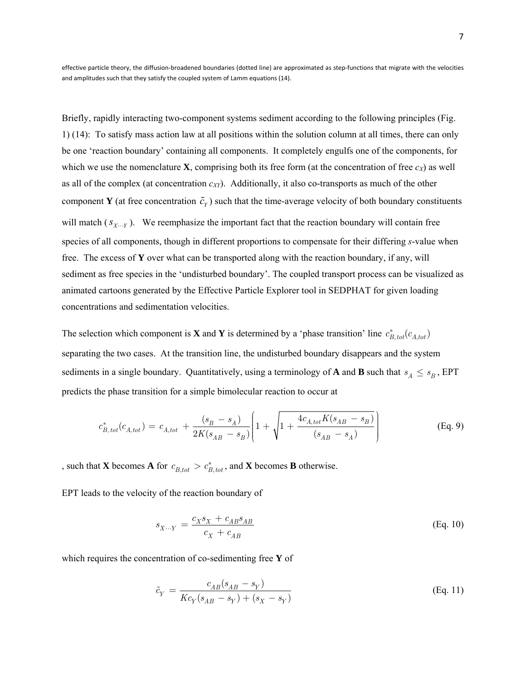effective particle theory, the diffusion-broadened boundaries (dotted line) are approximated as step-functions that migrate with the velocities and amplitudes such that they satisfy the coupled system of Lamm equations (14).

Briefly, rapidly interacting two-component systems sediment according to the following principles (Fig. 1) (14): To satisfy mass action law at all positions within the solution column at all times, there can only be one 'reaction boundary' containing all components. It completely engulfs one of the components, for which we use the nomenclature **X**, comprising both its free form (at the concentration of free  $c_X$ ) as well as all of the complex (at concentration  $c_{XY}$ ). Additionally, it also co-transports as much of the other component **Y** (at free concentration  $\tilde{c}_y$ ) such that the time-average velocity of both boundary constituents will match  $(s_{X \cdots Y})$ . We reemphasize the important fact that the reaction boundary will contain free species of all components, though in different proportions to compensate for their differing *s*-value when free. The excess of **Y** over what can be transported along with the reaction boundary, if any, will sediment as free species in the 'undisturbed boundary'. The coupled transport process can be visualized as animated cartoons generated by the Effective Particle Explorer tool in SEDPHAT for given loading concentrations and sedimentation velocities.

The selection which component is **X** and **Y** is determined by a 'phase transition' line  $c_{B,tot}^*(c_{A,tot})$ separating the two cases. At the transition line, the undisturbed boundary disappears and the system sediments in a single boundary. Quantitatively, using a terminology of **A** and **B** such that  $s_A \leq s_B$ , EPT predicts the phase transition for a simple bimolecular reaction to occur at

$$
c_{B, tot}^{*}(c_{A, tot}) = c_{A, tot} + \frac{(s_B - s_A)}{2K(s_{AB} - s_B)} \left( 1 + \sqrt{1 + \frac{4c_{A, tot}K(s_{AB} - s_B)}{(s_{AB} - s_A)}} \right)
$$
(Eq. 9)

, such that **X** becomes **A** for  $c_{B,tot} > c_{B,tot}^*$ , and **X** becomes **B** otherwise.

EPT leads to the velocity of the reaction boundary of

$$
s_{X...Y} = \frac{c_X s_X + c_{AB} s_{AB}}{c_X + c_{AB}}
$$
(Eq. 10)

which requires the concentration of co-sedimenting free **Y** of

$$
\tilde{c}_Y = \frac{c_{AB}(s_{AB} - s_Y)}{Kc_Y(s_{AB} - s_Y) + (s_X - s_Y)}\tag{Eq. 11}
$$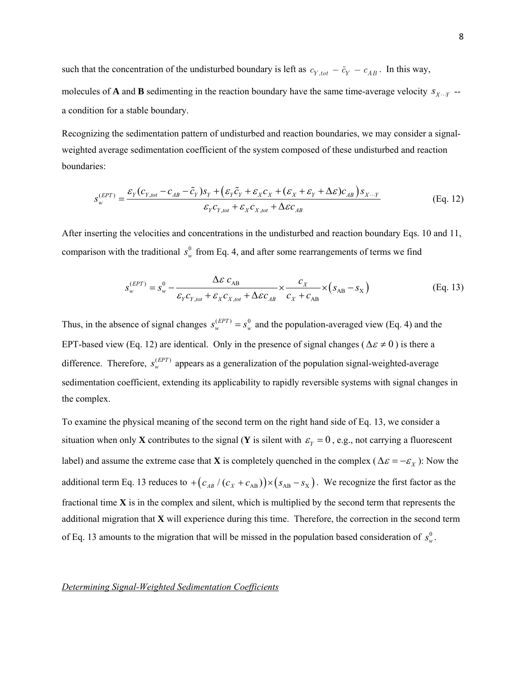such that the concentration of the undisturbed boundary is left as  $c_{Y, tot} - \tilde{c}_Y - c_{AB}$ . In this way, molecules of **A** and **B** sedimenting in the reaction boundary have the same time-average velocity  $s_{X \dots Y}$  -a condition for a stable boundary.

Recognizing the sedimentation pattern of undisturbed and reaction boundaries, we may consider a signalweighted average sedimentation coefficient of the system composed of these undisturbed and reaction boundaries:

$$
s_{w}^{(EPT)} = \frac{\varepsilon_{Y}(c_{Y, tot} - c_{AB} - \tilde{c}_{Y})s_{Y} + (\varepsilon_{Y}\tilde{c}_{Y} + \varepsilon_{X}c_{X} + (\varepsilon_{X} + \varepsilon_{Y} + \Delta\varepsilon)c_{AB})s_{X \cdots Y}}{\varepsilon_{Y}c_{Y, tot} + \varepsilon_{X}c_{X, tot} + \Delta\varepsilon c_{AB}}
$$
(Eq. 12)

After inserting the velocities and concentrations in the undisturbed and reaction boundary Eqs. 10 and 11, comparison with the traditional  $s_w^0$  from Eq. 4, and after some rearrangements of terms we find

$$
s_w^{(EPT)} = s_w^0 - \frac{\Delta \varepsilon c_{AB}}{\varepsilon_Y c_{Y, tot} + \varepsilon_X c_{X, tot} + \Delta \varepsilon c_{AB}} \times \frac{c_X}{c_X + c_{AB}} \times (s_{AB} - s_X)
$$
(Eq. 13)

Thus, in the absence of signal changes  $s_w^{(EPT)} = s_w^0$  and the population-averaged view (Eq. 4) and the EPT-based view (Eq. 12) are identical. Only in the presence of signal changes ( $\Delta \varepsilon \neq 0$ ) is there a difference. Therefore,  $s_w^{(EPT)}$  appears as a generalization of the population signal-weighted-average sedimentation coefficient, extending its applicability to rapidly reversible systems with signal changes in the complex.

To examine the physical meaning of the second term on the right hand side of Eq. 13, we consider a situation when only **X** contributes to the signal (**Y** is silent with  $\varepsilon_y = 0$ , e.g., not carrying a fluorescent label) and assume the extreme case that **X** is completely quenched in the complex ( $\Delta \varepsilon = -\varepsilon_X$ ): Now the additional term Eq. 13 reduces to  $+(c_{AB}/(c_x + c_{AB})) \times (s_{AB} - s_x)$ . We recognize the first factor as the fractional time **X** is in the complex and silent, which is multiplied by the second term that represents the additional migration that **X** will experience during this time. Therefore, the correction in the second term of Eq. 13 amounts to the migration that will be missed in the population based consideration of  $s_w^0$ .

#### *Determining Signal-Weighted Sedimentation Coefficients*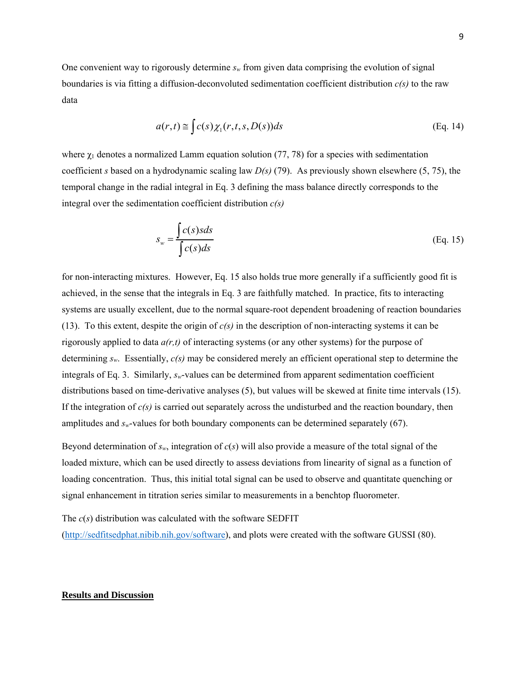One convenient way to rigorously determine  $s_w$  from given data comprising the evolution of signal boundaries is via fitting a diffusion-deconvoluted sedimentation coefficient distribution *c(s)* to the raw data

$$
a(r,t) \approx \int c(s)\chi_1(r,t,s,D(s))ds
$$
 (Eq. 14)

where  $\chi_1$  denotes a normalized Lamm equation solution (77, 78) for a species with sedimentation coefficient *s* based on a hydrodynamic scaling law *D(s)* (79). As previously shown elsewhere (5, 75), the temporal change in the radial integral in Eq. 3 defining the mass balance directly corresponds to the integral over the sedimentation coefficient distribution *c(s)*

$$
s_w = \frac{\int c(s)sds}{\int c(s)ds}
$$
 (Eq. 15)

for non-interacting mixtures. However, Eq. 15 also holds true more generally if a sufficiently good fit is achieved, in the sense that the integrals in Eq. 3 are faithfully matched. In practice, fits to interacting systems are usually excellent, due to the normal square-root dependent broadening of reaction boundaries (13). To this extent, despite the origin of *c(s)* in the description of non-interacting systems it can be rigorously applied to data *a(r,t)* of interacting systems (or any other systems) for the purpose of determining *sw*. Essentially, *c(s)* may be considered merely an efficient operational step to determine the integrals of Eq. 3. Similarly, *sw*-values can be determined from apparent sedimentation coefficient distributions based on time-derivative analyses (5), but values will be skewed at finite time intervals (15). If the integration of  $c(s)$  is carried out separately across the undisturbed and the reaction boundary, then amplitudes and *sw*-values for both boundary components can be determined separately (67).

Beyond determination of *sw*, integration of *c*(*s*) will also provide a measure of the total signal of the loaded mixture, which can be used directly to assess deviations from linearity of signal as a function of loading concentration. Thus, this initial total signal can be used to observe and quantitate quenching or signal enhancement in titration series similar to measurements in a benchtop fluorometer.

The *c*(*s*) distribution was calculated with the software SEDFIT

(http://sedfitsedphat.nibib.nih.gov/software), and plots were created with the software GUSSI (80).

# **Results and Discussion**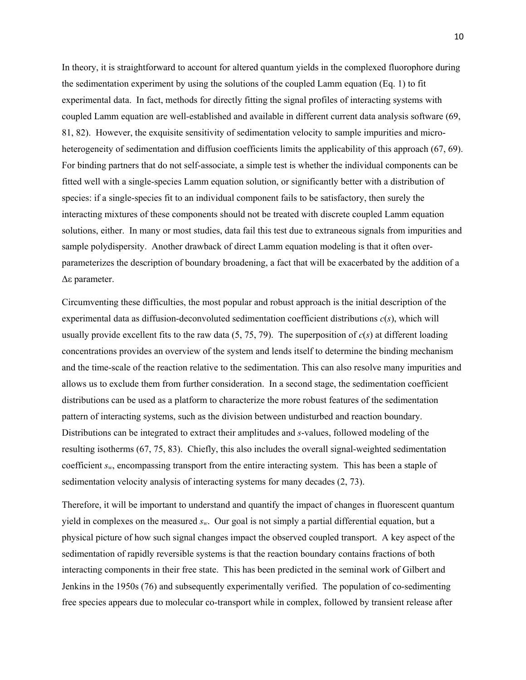In theory, it is straightforward to account for altered quantum yields in the complexed fluorophore during the sedimentation experiment by using the solutions of the coupled Lamm equation (Eq. 1) to fit experimental data. In fact, methods for directly fitting the signal profiles of interacting systems with coupled Lamm equation are well-established and available in different current data analysis software (69, 81, 82). However, the exquisite sensitivity of sedimentation velocity to sample impurities and microheterogeneity of sedimentation and diffusion coefficients limits the applicability of this approach (67, 69). For binding partners that do not self-associate, a simple test is whether the individual components can be fitted well with a single-species Lamm equation solution, or significantly better with a distribution of species: if a single-species fit to an individual component fails to be satisfactory, then surely the interacting mixtures of these components should not be treated with discrete coupled Lamm equation solutions, either. In many or most studies, data fail this test due to extraneous signals from impurities and sample polydispersity. Another drawback of direct Lamm equation modeling is that it often overparameterizes the description of boundary broadening, a fact that will be exacerbated by the addition of a Δε parameter.

Circumventing these difficulties, the most popular and robust approach is the initial description of the experimental data as diffusion-deconvoluted sedimentation coefficient distributions *c*(*s*), which will usually provide excellent fits to the raw data  $(5, 75, 79)$ . The superposition of  $c(s)$  at different loading concentrations provides an overview of the system and lends itself to determine the binding mechanism and the time-scale of the reaction relative to the sedimentation. This can also resolve many impurities and allows us to exclude them from further consideration. In a second stage, the sedimentation coefficient distributions can be used as a platform to characterize the more robust features of the sedimentation pattern of interacting systems, such as the division between undisturbed and reaction boundary. Distributions can be integrated to extract their amplitudes and *s*-values, followed modeling of the resulting isotherms (67, 75, 83). Chiefly, this also includes the overall signal-weighted sedimentation coefficient *sw*, encompassing transport from the entire interacting system. This has been a staple of sedimentation velocity analysis of interacting systems for many decades  $(2, 73)$ .

Therefore, it will be important to understand and quantify the impact of changes in fluorescent quantum yield in complexes on the measured *sw*. Our goal is not simply a partial differential equation, but a physical picture of how such signal changes impact the observed coupled transport. A key aspect of the sedimentation of rapidly reversible systems is that the reaction boundary contains fractions of both interacting components in their free state. This has been predicted in the seminal work of Gilbert and Jenkins in the 1950s (76) and subsequently experimentally verified. The population of co-sedimenting free species appears due to molecular co-transport while in complex, followed by transient release after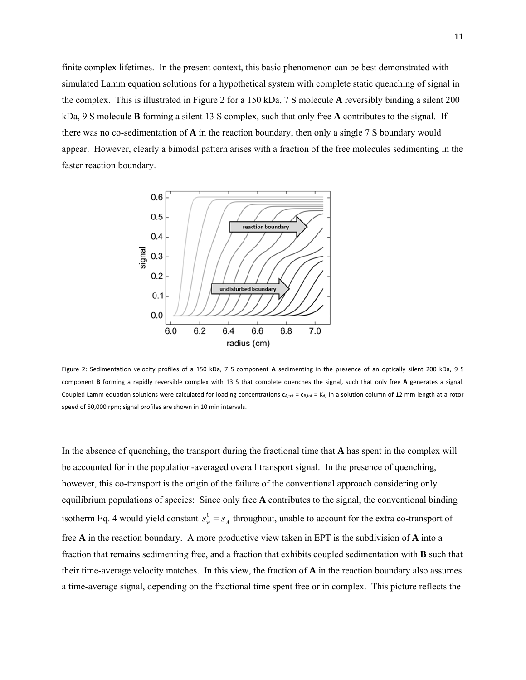finite complex lifetimes. In the present context, this basic phenomenon can be best demonstrated with simulated Lamm equation solutions for a hypothetical system with complete static quenching of signal in the complex. This is illustrated in Figure 2 for a 150 kDa, 7 S molecule **A** reversibly binding a silent 200 kDa, 9 S molecule **B** forming a silent 13 S complex, such that only free **A** contributes to the signal. If there was no co-sedimentation of **A** in the reaction boundary, then only a single 7 S boundary would appear. However, clearly a bimodal pattern arises with a fraction of the free molecules sedimenting in the faster reaction boundary.



Figure 2: Sedimentation velocity profiles of a 150 kDa, 7 S component **A** sedimenting in the presence of an optically silent 200 kDa, 9 S component **B** forming a rapidly reversible complex with 13 S that complete quenches the signal, such that only free **A** generates a signal. Coupled Lamm equation solutions were calculated for loading concentrations  $c_{A,tot} = c_{B,tot} = K_d$ , in a solution column of 12 mm length at a rotor speed of 50,000 rpm; signal profiles are shown in 10 min intervals.

In the absence of quenching, the transport during the fractional time that **A** has spent in the complex will be accounted for in the population-averaged overall transport signal. In the presence of quenching, however, this co-transport is the origin of the failure of the conventional approach considering only equilibrium populations of species: Since only free **A** contributes to the signal, the conventional binding isotherm Eq. 4 would yield constant  $s_w^0 = s_A$  throughout, unable to account for the extra co-transport of free **A** in the reaction boundary. A more productive view taken in EPT is the subdivision of **A** into a fraction that remains sedimenting free, and a fraction that exhibits coupled sedimentation with **B** such that their time-average velocity matches. In this view, the fraction of **A** in the reaction boundary also assumes a time-average signal, depending on the fractional time spent free or in complex. This picture reflects the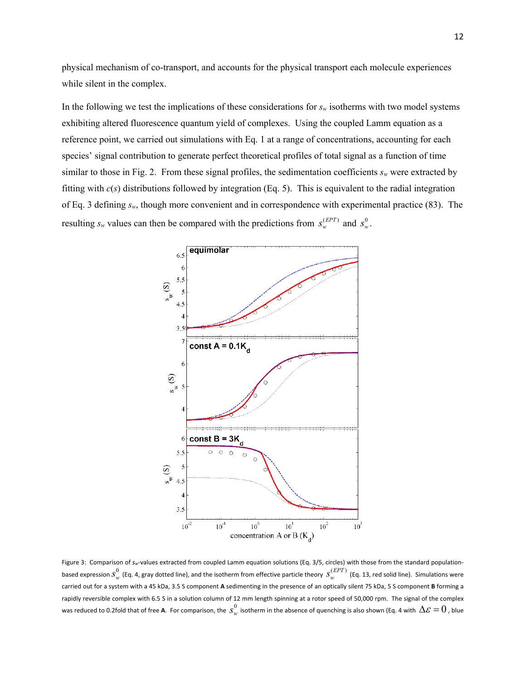physical mechanism of co-transport, and accounts for the physical transport each molecule experiences while silent in the complex.

In the following we test the implications of these considerations for  $s_w$  isotherms with two model systems exhibiting altered fluorescence quantum yield of complexes. Using the coupled Lamm equation as a reference point, we carried out simulations with Eq. 1 at a range of concentrations, accounting for each species' signal contribution to generate perfect theoretical profiles of total signal as a function of time similar to those in Fig. 2. From these signal profiles, the sedimentation coefficients  $s_w$  were extracted by fitting with *c*(*s*) distributions followed by integration (Eq. 5). This is equivalent to the radial integration of Eq. 3 defining *sw*, though more convenient and in correspondence with experimental practice (83). The resulting  $s_w$  values can then be compared with the predictions from  $s_w^{(EPT)}$  and  $s_w^0$ .



Figure 3: Comparison of *sw*-values extracted from coupled Lamm equation solutions (Eq. 3/5, circles) with those from the standard populationbased expression  $s_w^0$  (Eq. 4, gray dotted line), and the isotherm from effective particle theory  $s_w^{(EPT)}$  (Eq. 13, red solid line). Simulations were carried out for a system with a 45 kDa, 3.5 S component **A** sedimenting in the presence of an optically silent 75 kDa, 5 S component **B** forming a rapidly reversible complex with 6.5 S in a solution column of 12 mm length spinning at a rotor speed of 50,000 rpm. The signal of the complex was reduced to 0.2fold that of free **A**. For comparison, the  $s_w^0$  isotherm in the absence of quenching is also shown (Eq. 4 with  $\Delta\varepsilon = 0$  , blue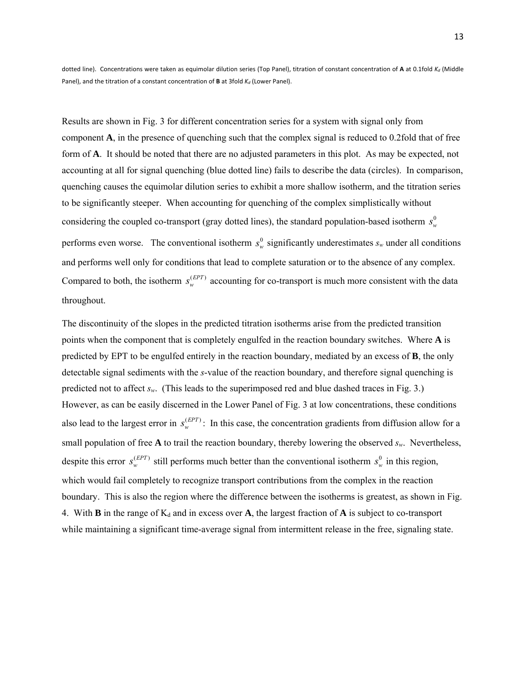dotted line). Concentrations were taken as equimolar dilution series (Top Panel), titration of constant concentration of **A** at 0.1fold *Kd* (Middle Panel), and the titration of a constant concentration of **B** at 3fold  $K_d$  (Lower Panel).

Results are shown in Fig. 3 for different concentration series for a system with signal only from component **A**, in the presence of quenching such that the complex signal is reduced to 0.2fold that of free form of **A**. It should be noted that there are no adjusted parameters in this plot. As may be expected, not accounting at all for signal quenching (blue dotted line) fails to describe the data (circles). In comparison, quenching causes the equimolar dilution series to exhibit a more shallow isotherm, and the titration series to be significantly steeper. When accounting for quenching of the complex simplistically without considering the coupled co-transport (gray dotted lines), the standard population-based isotherm  $s_w^0$ performs even worse. The conventional isotherm  $s_w^0$  significantly underestimates  $s_w$  under all conditions and performs well only for conditions that lead to complete saturation or to the absence of any complex. Compared to both, the isotherm  $s_w^{(EPT)}$  accounting for co-transport is much more consistent with the data throughout.

The discontinuity of the slopes in the predicted titration isotherms arise from the predicted transition points when the component that is completely engulfed in the reaction boundary switches. Where **A** is predicted by EPT to be engulfed entirely in the reaction boundary, mediated by an excess of **B**, the only detectable signal sediments with the *s*-value of the reaction boundary, and therefore signal quenching is predicted not to affect *sw*. (This leads to the superimposed red and blue dashed traces in Fig. 3.) However, as can be easily discerned in the Lower Panel of Fig. 3 at low concentrations, these conditions also lead to the largest error in  $s_w^{(EPT)}$ : In this case, the concentration gradients from diffusion allow for a small population of free **A** to trail the reaction boundary, thereby lowering the observed *sw*. Nevertheless, despite this error  $s_w^{(EPT)}$  still performs much better than the conventional isotherm  $s_w^0$  in this region, which would fail completely to recognize transport contributions from the complex in the reaction boundary. This is also the region where the difference between the isotherms is greatest, as shown in Fig. 4. With **B** in the range of  $K_d$  and in excess over **A**, the largest fraction of **A** is subject to co-transport while maintaining a significant time-average signal from intermittent release in the free, signaling state.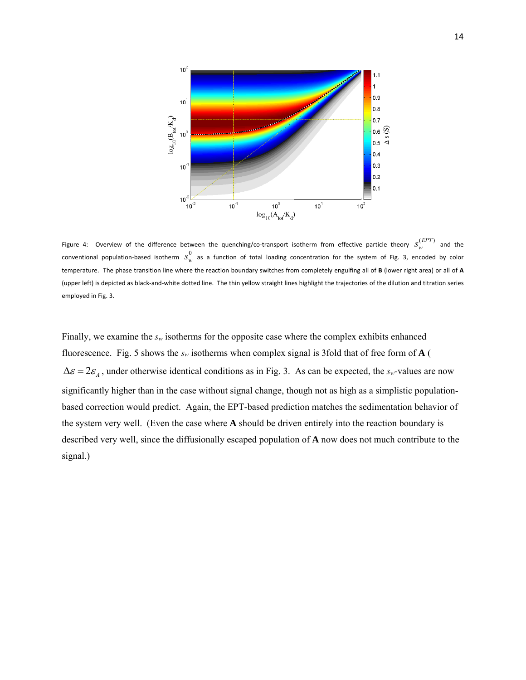

Figure 4: Overview of the difference between the quenching/co-transport isotherm from effective particle theory  $S_{w}^{(EPT)}$  and the conventional population-based isotherm  $s_w^0$  as a function of total loading concentration for the system of Fig. 3, encoded by color temperature. The phase transition line where the reaction boundary switches from completely engulfing all of **B** (lower right area) or all of **A** (upper left) is depicted as black‐and‐white dotted line. The thin yellow straight lines highlight the trajectories of the dilution and titration series employed in Fig. 3.

Finally, we examine the  $s_w$  isotherms for the opposite case where the complex exhibits enhanced fluorescence. Fig. 5 shows the *sw* isotherms when complex signal is 3fold that of free form of **A** (  $\Delta \varepsilon = 2\varepsilon_A$ , under otherwise identical conditions as in Fig. 3. As can be expected, the *sw*-values are now significantly higher than in the case without signal change, though not as high as a simplistic populationbased correction would predict. Again, the EPT-based prediction matches the sedimentation behavior of the system very well. (Even the case where **A** should be driven entirely into the reaction boundary is described very well, since the diffusionally escaped population of **A** now does not much contribute to the signal.)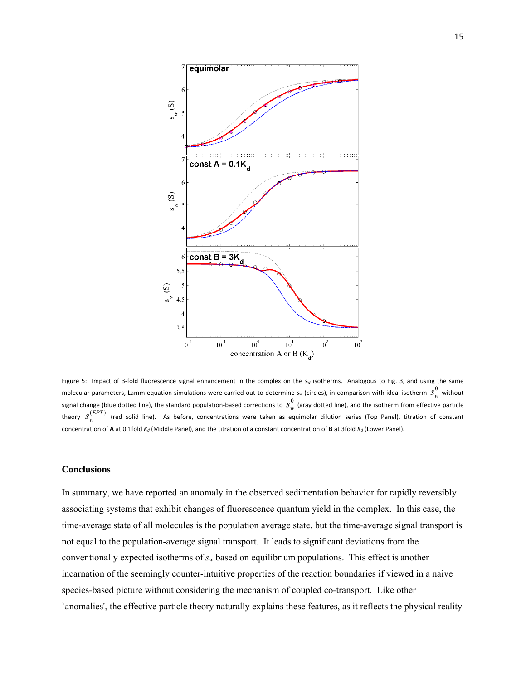

Figure 5: Impact of 3-fold fluorescence signal enhancement in the complex on the *sw* isotherms. Analogous to Fig. 3, and using the same molecular parameters, Lamm equation simulations were carried out to determine s<sub>w</sub> (circles), in comparison with ideal isotherm  $s_{_W}^{\,0}$  without signal change (blue dotted line), the standard population-based corrections to  $s_w^0$  (gray dotted line), and the isotherm from effective particle theory  $S^{(EPT)}_{w}$  (red solid line). As before, concentrations were taken as equimolar dilution series (Top Panel), titration of constant concentration of A at 0.1fold *K<sub>d</sub>* (Middle Panel), and the titration of a constant concentration of B at 3fold *K<sub>d</sub>* (Lower Panel).

## **Conclusions**

In summary, we have reported an anomaly in the observed sedimentation behavior for rapidly reversibly associating systems that exhibit changes of fluorescence quantum yield in the complex. In this case, the time-average state of all molecules is the population average state, but the time-average signal transport is not equal to the population-average signal transport. It leads to significant deviations from the conventionally expected isotherms of *sw* based on equilibrium populations. This effect is another incarnation of the seemingly counter-intuitive properties of the reaction boundaries if viewed in a naive species-based picture without considering the mechanism of coupled co-transport. Like other `anomalies', the effective particle theory naturally explains these features, as it reflects the physical reality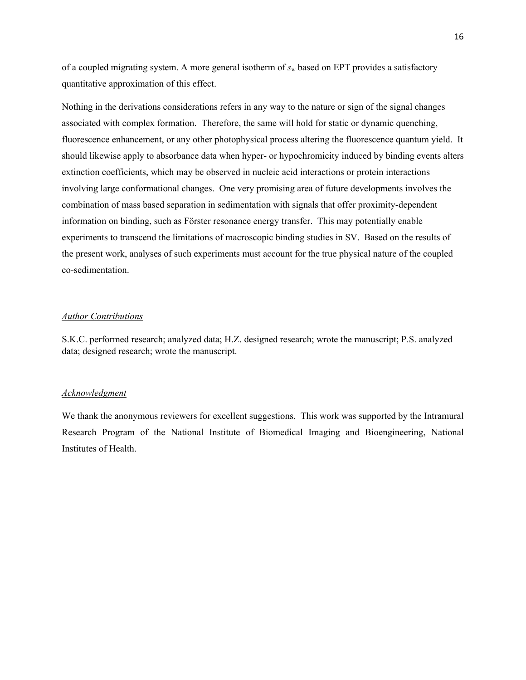of a coupled migrating system. A more general isotherm of *sw* based on EPT provides a satisfactory quantitative approximation of this effect.

Nothing in the derivations considerations refers in any way to the nature or sign of the signal changes associated with complex formation. Therefore, the same will hold for static or dynamic quenching, fluorescence enhancement, or any other photophysical process altering the fluorescence quantum yield. It should likewise apply to absorbance data when hyper- or hypochromicity induced by binding events alters extinction coefficients, which may be observed in nucleic acid interactions or protein interactions involving large conformational changes. One very promising area of future developments involves the combination of mass based separation in sedimentation with signals that offer proximity-dependent information on binding, such as Förster resonance energy transfer. This may potentially enable experiments to transcend the limitations of macroscopic binding studies in SV. Based on the results of the present work, analyses of such experiments must account for the true physical nature of the coupled co-sedimentation.

# *Author Contributions*

S.K.C. performed research; analyzed data; H.Z. designed research; wrote the manuscript; P.S. analyzed data; designed research; wrote the manuscript.

# *Acknowledgment*

We thank the anonymous reviewers for excellent suggestions. This work was supported by the Intramural Research Program of the National Institute of Biomedical Imaging and Bioengineering, National Institutes of Health.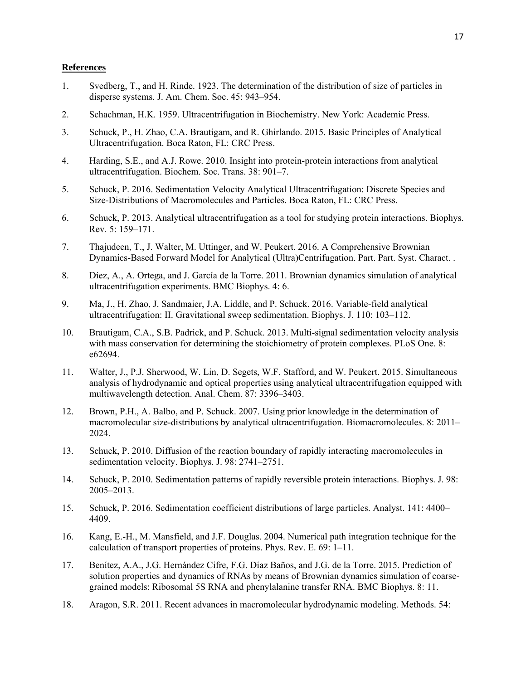## **References**

- 1. Svedberg, T., and H. Rinde. 1923. The determination of the distribution of size of particles in disperse systems. J. Am. Chem. Soc. 45: 943–954.
- 2. Schachman, H.K. 1959. Ultracentrifugation in Biochemistry. New York: Academic Press.
- 3. Schuck, P., H. Zhao, C.A. Brautigam, and R. Ghirlando. 2015. Basic Principles of Analytical Ultracentrifugation. Boca Raton, FL: CRC Press.
- 4. Harding, S.E., and A.J. Rowe. 2010. Insight into protein-protein interactions from analytical ultracentrifugation. Biochem. Soc. Trans. 38: 901–7.
- 5. Schuck, P. 2016. Sedimentation Velocity Analytical Ultracentrifugation: Discrete Species and Size-Distributions of Macromolecules and Particles. Boca Raton, FL: CRC Press.
- 6. Schuck, P. 2013. Analytical ultracentrifugation as a tool for studying protein interactions. Biophys. Rev. 5: 159–171.
- 7. Thajudeen, T., J. Walter, M. Uttinger, and W. Peukert. 2016. A Comprehensive Brownian Dynamics-Based Forward Model for Analytical (Ultra)Centrifugation. Part. Part. Syst. Charact. .
- 8. Díez, A., A. Ortega, and J. García de la Torre. 2011. Brownian dynamics simulation of analytical ultracentrifugation experiments. BMC Biophys. 4: 6.
- 9. Ma, J., H. Zhao, J. Sandmaier, J.A. Liddle, and P. Schuck. 2016. Variable-field analytical ultracentrifugation: II. Gravitational sweep sedimentation. Biophys. J. 110: 103–112.
- 10. Brautigam, C.A., S.B. Padrick, and P. Schuck. 2013. Multi-signal sedimentation velocity analysis with mass conservation for determining the stoichiometry of protein complexes. PLoS One. 8: e62694.
- 11. Walter, J., P.J. Sherwood, W. Lin, D. Segets, W.F. Stafford, and W. Peukert. 2015. Simultaneous analysis of hydrodynamic and optical properties using analytical ultracentrifugation equipped with multiwavelength detection. Anal. Chem. 87: 3396–3403.
- 12. Brown, P.H., A. Balbo, and P. Schuck. 2007. Using prior knowledge in the determination of macromolecular size-distributions by analytical ultracentrifugation. Biomacromolecules. 8: 2011– 2024.
- 13. Schuck, P. 2010. Diffusion of the reaction boundary of rapidly interacting macromolecules in sedimentation velocity. Biophys. J. 98: 2741–2751.
- 14. Schuck, P. 2010. Sedimentation patterns of rapidly reversible protein interactions. Biophys. J. 98: 2005–2013.
- 15. Schuck, P. 2016. Sedimentation coefficient distributions of large particles. Analyst. 141: 4400– 4409.
- 16. Kang, E.-H., M. Mansfield, and J.F. Douglas. 2004. Numerical path integration technique for the calculation of transport properties of proteins. Phys. Rev. E. 69: 1–11.
- 17. Benítez, A.A., J.G. Hernández Cifre, F.G. Díaz Baños, and J.G. de la Torre. 2015. Prediction of solution properties and dynamics of RNAs by means of Brownian dynamics simulation of coarsegrained models: Ribosomal 5S RNA and phenylalanine transfer RNA. BMC Biophys. 8: 11.
- 18. Aragon, S.R. 2011. Recent advances in macromolecular hydrodynamic modeling. Methods. 54: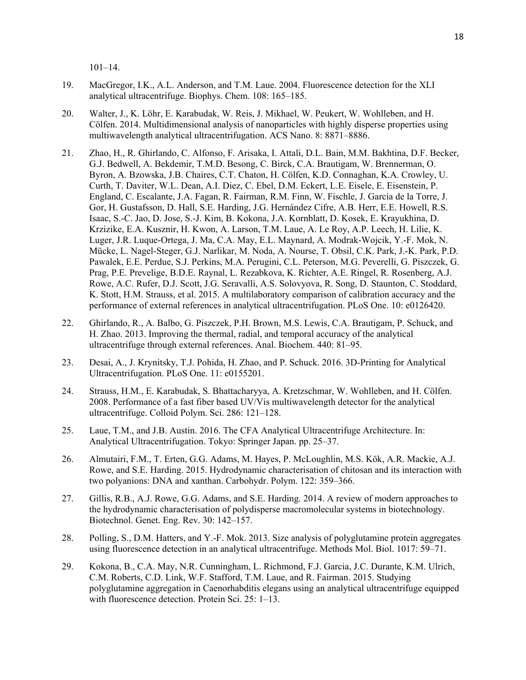101–14.

- 19. MacGregor, I.K., A.L. Anderson, and T.M. Laue. 2004. Fluorescence detection for the XLI analytical ultracentrifuge. Biophys. Chem. 108: 165–185.
- 20. Walter, J., K. Löhr, E. Karabudak, W. Reis, J. Mikhael, W. Peukert, W. Wohlleben, and H. Cölfen. 2014. Multidimensional analysis of nanoparticles with highly disperse properties using multiwavelength analytical ultracentrifugation. ACS Nano. 8: 8871–8886.
- 21. Zhao, H., R. Ghirlando, C. Alfonso, F. Arisaka, I. Attali, D.L. Bain, M.M. Bakhtina, D.F. Becker, G.J. Bedwell, A. Bekdemir, T.M.D. Besong, C. Birck, C.A. Brautigam, W. Brennerman, O. Byron, A. Bzowska, J.B. Chaires, C.T. Chaton, H. Cölfen, K.D. Connaghan, K.A. Crowley, U. Curth, T. Daviter, W.L. Dean, A.I. Diez, C. Ebel, D.M. Eckert, L.E. Eisele, E. Eisenstein, P. England, C. Escalante, J.A. Fagan, R. Fairman, R.M. Finn, W. Fischle, J. García de la Torre, J. Gor, H. Gustafsson, D. Hall, S.E. Harding, J.G. Hernández Cifre, A.B. Herr, E.E. Howell, R.S. Isaac, S.-C. Jao, D. Jose, S.-J. Kim, B. Kokona, J.A. Kornblatt, D. Kosek, E. Krayukhina, D. Krzizike, E.A. Kusznir, H. Kwon, A. Larson, T.M. Laue, A. Le Roy, A.P. Leech, H. Lilie, K. Luger, J.R. Luque-Ortega, J. Ma, C.A. May, E.L. Maynard, A. Modrak-Wojcik, Y.-F. Mok, N. Mücke, L. Nagel-Steger, G.J. Narlikar, M. Noda, A. Nourse, T. Obsil, C.K. Park, J.-K. Park, P.D. Pawalek, E.E. Perdue, S.J. Perkins, M.A. Perugini, C.L. Peterson, M.G. Peverelli, G. Piszczek, G. Prag, P.E. Prevelige, B.D.E. Raynal, L. Rezabkova, K. Richter, A.E. Ringel, R. Rosenberg, A.J. Rowe, A.C. Rufer, D.J. Scott, J.G. Seravalli, A.S. Solovyova, R. Song, D. Staunton, C. Stoddard, K. Stott, H.M. Strauss, et al. 2015. A multilaboratory comparison of calibration accuracy and the performance of external references in analytical ultracentrifugation. PLoS One. 10: e0126420.
- 22. Ghirlando, R., A. Balbo, G. Piszczek, P.H. Brown, M.S. Lewis, C.A. Brautigam, P. Schuck, and H. Zhao. 2013. Improving the thermal, radial, and temporal accuracy of the analytical ultracentrifuge through external references. Anal. Biochem. 440: 81–95.
- 23. Desai, A., J. Krynitsky, T.J. Pohida, H. Zhao, and P. Schuck. 2016. 3D-Printing for Analytical Ultracentrifugation. PLoS One. 11: e0155201.
- 24. Strauss, H.M., E. Karabudak, S. Bhattacharyya, A. Kretzschmar, W. Wohlleben, and H. Cölfen. 2008. Performance of a fast fiber based UV/Vis multiwavelength detector for the analytical ultracentrifuge. Colloid Polym. Sci. 286: 121–128.
- 25. Laue, T.M., and J.B. Austin. 2016. The CFA Analytical Ultracentrifuge Architecture. In: Analytical Ultracentrifugation. Tokyo: Springer Japan. pp. 25–37.
- 26. Almutairi, F.M., T. Erten, G.G. Adams, M. Hayes, P. McLoughlin, M.S. Kök, A.R. Mackie, A.J. Rowe, and S.E. Harding. 2015. Hydrodynamic characterisation of chitosan and its interaction with two polyanions: DNA and xanthan. Carbohydr. Polym. 122: 359–366.
- 27. Gillis, R.B., A.J. Rowe, G.G. Adams, and S.E. Harding. 2014. A review of modern approaches to the hydrodynamic characterisation of polydisperse macromolecular systems in biotechnology. Biotechnol. Genet. Eng. Rev. 30: 142–157.
- 28. Polling, S., D.M. Hatters, and Y.-F. Mok. 2013. Size analysis of polyglutamine protein aggregates using fluorescence detection in an analytical ultracentrifuge. Methods Mol. Biol. 1017: 59–71.
- 29. Kokona, B., C.A. May, N.R. Cunningham, L. Richmond, F.J. Garcia, J.C. Durante, K.M. Ulrich, C.M. Roberts, C.D. Link, W.F. Stafford, T.M. Laue, and R. Fairman. 2015. Studying polyglutamine aggregation in Caenorhabditis elegans using an analytical ultracentrifuge equipped with fluorescence detection. Protein Sci. 25: 1–13.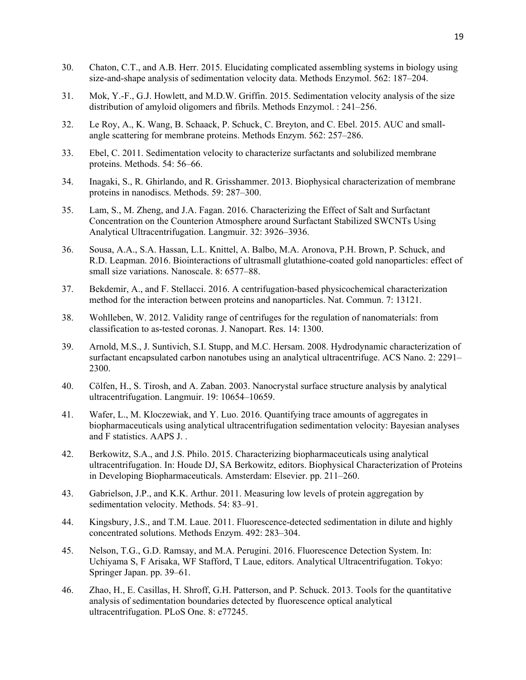- 30. Chaton, C.T., and A.B. Herr. 2015. Elucidating complicated assembling systems in biology using size-and-shape analysis of sedimentation velocity data. Methods Enzymol. 562: 187–204.
- 31. Mok, Y.-F., G.J. Howlett, and M.D.W. Griffin. 2015. Sedimentation velocity analysis of the size distribution of amyloid oligomers and fibrils. Methods Enzymol. : 241–256.
- 32. Le Roy, A., K. Wang, B. Schaack, P. Schuck, C. Breyton, and C. Ebel. 2015. AUC and smallangle scattering for membrane proteins. Methods Enzym. 562: 257–286.
- 33. Ebel, C. 2011. Sedimentation velocity to characterize surfactants and solubilized membrane proteins. Methods. 54: 56–66.
- 34. Inagaki, S., R. Ghirlando, and R. Grisshammer. 2013. Biophysical characterization of membrane proteins in nanodiscs. Methods. 59: 287–300.
- 35. Lam, S., M. Zheng, and J.A. Fagan. 2016. Characterizing the Effect of Salt and Surfactant Concentration on the Counterion Atmosphere around Surfactant Stabilized SWCNTs Using Analytical Ultracentrifugation. Langmuir. 32: 3926–3936.
- 36. Sousa, A.A., S.A. Hassan, L.L. Knittel, A. Balbo, M.A. Aronova, P.H. Brown, P. Schuck, and R.D. Leapman. 2016. Biointeractions of ultrasmall glutathione-coated gold nanoparticles: effect of small size variations. Nanoscale. 8: 6577–88.
- 37. Bekdemir, A., and F. Stellacci. 2016. A centrifugation-based physicochemical characterization method for the interaction between proteins and nanoparticles. Nat. Commun. 7: 13121.
- 38. Wohlleben, W. 2012. Validity range of centrifuges for the regulation of nanomaterials: from classification to as-tested coronas. J. Nanopart. Res. 14: 1300.
- 39. Arnold, M.S., J. Suntivich, S.I. Stupp, and M.C. Hersam. 2008. Hydrodynamic characterization of surfactant encapsulated carbon nanotubes using an analytical ultracentrifuge. ACS Nano. 2: 2291– 2300.
- 40. Cölfen, H., S. Tirosh, and A. Zaban. 2003. Nanocrystal surface structure analysis by analytical ultracentrifugation. Langmuir. 19: 10654–10659.
- 41. Wafer, L., M. Kloczewiak, and Y. Luo. 2016. Quantifying trace amounts of aggregates in biopharmaceuticals using analytical ultracentrifugation sedimentation velocity: Bayesian analyses and F statistics. AAPS J. .
- 42. Berkowitz, S.A., and J.S. Philo. 2015. Characterizing biopharmaceuticals using analytical ultracentrifugation. In: Houde DJ, SA Berkowitz, editors. Biophysical Characterization of Proteins in Developing Biopharmaceuticals. Amsterdam: Elsevier. pp. 211–260.
- 43. Gabrielson, J.P., and K.K. Arthur. 2011. Measuring low levels of protein aggregation by sedimentation velocity. Methods. 54: 83–91.
- 44. Kingsbury, J.S., and T.M. Laue. 2011. Fluorescence-detected sedimentation in dilute and highly concentrated solutions. Methods Enzym. 492: 283–304.
- 45. Nelson, T.G., G.D. Ramsay, and M.A. Perugini. 2016. Fluorescence Detection System. In: Uchiyama S, F Arisaka, WF Stafford, T Laue, editors. Analytical Ultracentrifugation. Tokyo: Springer Japan. pp. 39–61.
- 46. Zhao, H., E. Casillas, H. Shroff, G.H. Patterson, and P. Schuck. 2013. Tools for the quantitative analysis of sedimentation boundaries detected by fluorescence optical analytical ultracentrifugation. PLoS One. 8: e77245.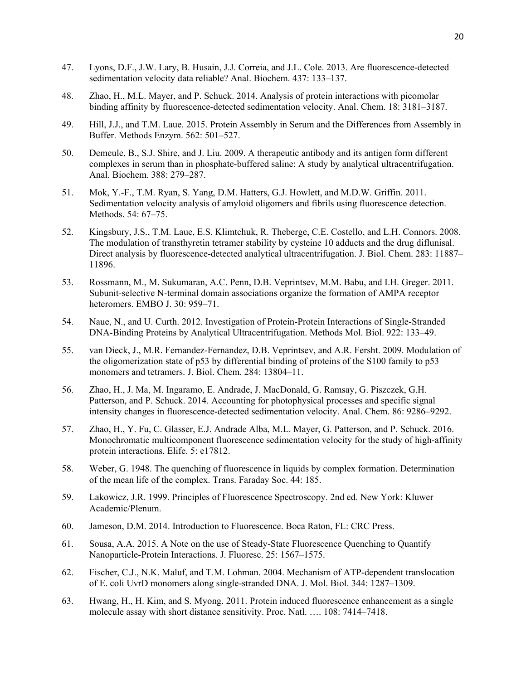- 47. Lyons, D.F., J.W. Lary, B. Husain, J.J. Correia, and J.L. Cole. 2013. Are fluorescence-detected sedimentation velocity data reliable? Anal. Biochem. 437: 133–137.
- 48. Zhao, H., M.L. Mayer, and P. Schuck. 2014. Analysis of protein interactions with picomolar binding affinity by fluorescence-detected sedimentation velocity. Anal. Chem. 18: 3181–3187.
- 49. Hill, J.J., and T.M. Laue. 2015. Protein Assembly in Serum and the Differences from Assembly in Buffer. Methods Enzym. 562: 501–527.
- 50. Demeule, B., S.J. Shire, and J. Liu. 2009. A therapeutic antibody and its antigen form different complexes in serum than in phosphate-buffered saline: A study by analytical ultracentrifugation. Anal. Biochem. 388: 279–287.
- 51. Mok, Y.-F., T.M. Ryan, S. Yang, D.M. Hatters, G.J. Howlett, and M.D.W. Griffin. 2011. Sedimentation velocity analysis of amyloid oligomers and fibrils using fluorescence detection. Methods. 54: 67–75.
- 52. Kingsbury, J.S., T.M. Laue, E.S. Klimtchuk, R. Theberge, C.E. Costello, and L.H. Connors. 2008. The modulation of transthyretin tetramer stability by cysteine 10 adducts and the drug diflunisal. Direct analysis by fluorescence-detected analytical ultracentrifugation. J. Biol. Chem. 283: 11887– 11896.
- 53. Rossmann, M., M. Sukumaran, A.C. Penn, D.B. Veprintsev, M.M. Babu, and I.H. Greger. 2011. Subunit-selective N-terminal domain associations organize the formation of AMPA receptor heteromers. EMBO J. 30: 959–71.
- 54. Naue, N., and U. Curth. 2012. Investigation of Protein-Protein Interactions of Single-Stranded DNA-Binding Proteins by Analytical Ultracentrifugation. Methods Mol. Biol. 922: 133–49.
- 55. van Dieck, J., M.R. Fernandez-Fernandez, D.B. Veprintsev, and A.R. Fersht. 2009. Modulation of the oligomerization state of p53 by differential binding of proteins of the S100 family to p53 monomers and tetramers. J. Biol. Chem. 284: 13804–11.
- 56. Zhao, H., J. Ma, M. Ingaramo, E. Andrade, J. MacDonald, G. Ramsay, G. Piszczek, G.H. Patterson, and P. Schuck. 2014. Accounting for photophysical processes and specific signal intensity changes in fluorescence-detected sedimentation velocity. Anal. Chem. 86: 9286–9292.
- 57. Zhao, H., Y. Fu, C. Glasser, E.J. Andrade Alba, M.L. Mayer, G. Patterson, and P. Schuck. 2016. Monochromatic multicomponent fluorescence sedimentation velocity for the study of high-affinity protein interactions. Elife. 5: e17812.
- 58. Weber, G. 1948. The quenching of fluorescence in liquids by complex formation. Determination of the mean life of the complex. Trans. Faraday Soc. 44: 185.
- 59. Lakowicz, J.R. 1999. Principles of Fluorescence Spectroscopy. 2nd ed. New York: Kluwer Academic/Plenum.
- 60. Jameson, D.M. 2014. Introduction to Fluorescence. Boca Raton, FL: CRC Press.
- 61. Sousa, A.A. 2015. A Note on the use of Steady-State Fluorescence Quenching to Quantify Nanoparticle-Protein Interactions. J. Fluoresc. 25: 1567–1575.
- 62. Fischer, C.J., N.K. Maluf, and T.M. Lohman. 2004. Mechanism of ATP-dependent translocation of E. coli UvrD monomers along single-stranded DNA. J. Mol. Biol. 344: 1287–1309.
- 63. Hwang, H., H. Kim, and S. Myong. 2011. Protein induced fluorescence enhancement as a single molecule assay with short distance sensitivity. Proc. Natl. …. 108: 7414–7418.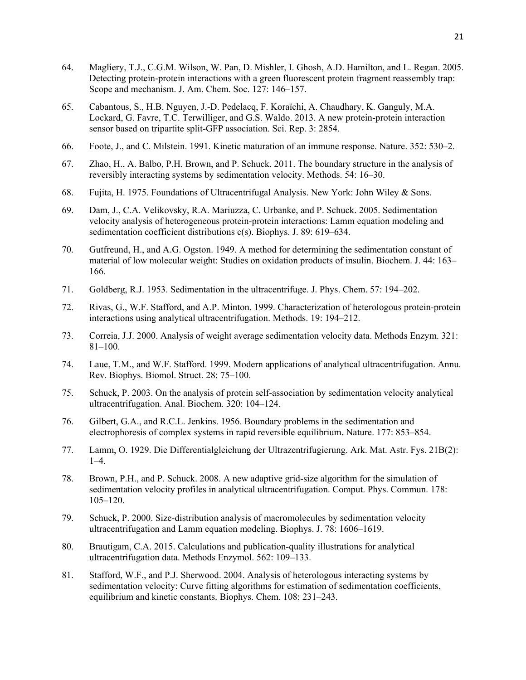- 64. Magliery, T.J., C.G.M. Wilson, W. Pan, D. Mishler, I. Ghosh, A.D. Hamilton, and L. Regan. 2005. Detecting protein-protein interactions with a green fluorescent protein fragment reassembly trap: Scope and mechanism. J. Am. Chem. Soc. 127: 146–157.
- 65. Cabantous, S., H.B. Nguyen, J.-D. Pedelacq, F. Koraïchi, A. Chaudhary, K. Ganguly, M.A. Lockard, G. Favre, T.C. Terwilliger, and G.S. Waldo. 2013. A new protein-protein interaction sensor based on tripartite split-GFP association. Sci. Rep. 3: 2854.
- 66. Foote, J., and C. Milstein. 1991. Kinetic maturation of an immune response. Nature. 352: 530–2.
- 67. Zhao, H., A. Balbo, P.H. Brown, and P. Schuck. 2011. The boundary structure in the analysis of reversibly interacting systems by sedimentation velocity. Methods. 54: 16–30.
- 68. Fujita, H. 1975. Foundations of Ultracentrifugal Analysis. New York: John Wiley & Sons.
- 69. Dam, J., C.A. Velikovsky, R.A. Mariuzza, C. Urbanke, and P. Schuck. 2005. Sedimentation velocity analysis of heterogeneous protein-protein interactions: Lamm equation modeling and sedimentation coefficient distributions c(s). Biophys. J. 89: 619–634.
- 70. Gutfreund, H., and A.G. Ogston. 1949. A method for determining the sedimentation constant of material of low molecular weight: Studies on oxidation products of insulin. Biochem. J. 44: 163– 166.
- 71. Goldberg, R.J. 1953. Sedimentation in the ultracentrifuge. J. Phys. Chem. 57: 194–202.
- 72. Rivas, G., W.F. Stafford, and A.P. Minton. 1999. Characterization of heterologous protein-protein interactions using analytical ultracentrifugation. Methods. 19: 194–212.
- 73. Correia, J.J. 2000. Analysis of weight average sedimentation velocity data. Methods Enzym. 321: 81–100.
- 74. Laue, T.M., and W.F. Stafford. 1999. Modern applications of analytical ultracentrifugation. Annu. Rev. Biophys. Biomol. Struct. 28: 75–100.
- 75. Schuck, P. 2003. On the analysis of protein self-association by sedimentation velocity analytical ultracentrifugation. Anal. Biochem. 320: 104–124.
- 76. Gilbert, G.A., and R.C.L. Jenkins. 1956. Boundary problems in the sedimentation and electrophoresis of complex systems in rapid reversible equilibrium. Nature. 177: 853–854.
- 77. Lamm, O. 1929. Die Differentialgleichung der Ultrazentrifugierung. Ark. Mat. Astr. Fys. 21B(2):  $1-4.$
- 78. Brown, P.H., and P. Schuck. 2008. A new adaptive grid-size algorithm for the simulation of sedimentation velocity profiles in analytical ultracentrifugation. Comput. Phys. Commun. 178: 105–120.
- 79. Schuck, P. 2000. Size-distribution analysis of macromolecules by sedimentation velocity ultracentrifugation and Lamm equation modeling. Biophys. J. 78: 1606–1619.
- 80. Brautigam, C.A. 2015. Calculations and publication-quality illustrations for analytical ultracentrifugation data. Methods Enzymol. 562: 109–133.
- 81. Stafford, W.F., and P.J. Sherwood. 2004. Analysis of heterologous interacting systems by sedimentation velocity: Curve fitting algorithms for estimation of sedimentation coefficients, equilibrium and kinetic constants. Biophys. Chem. 108: 231–243.